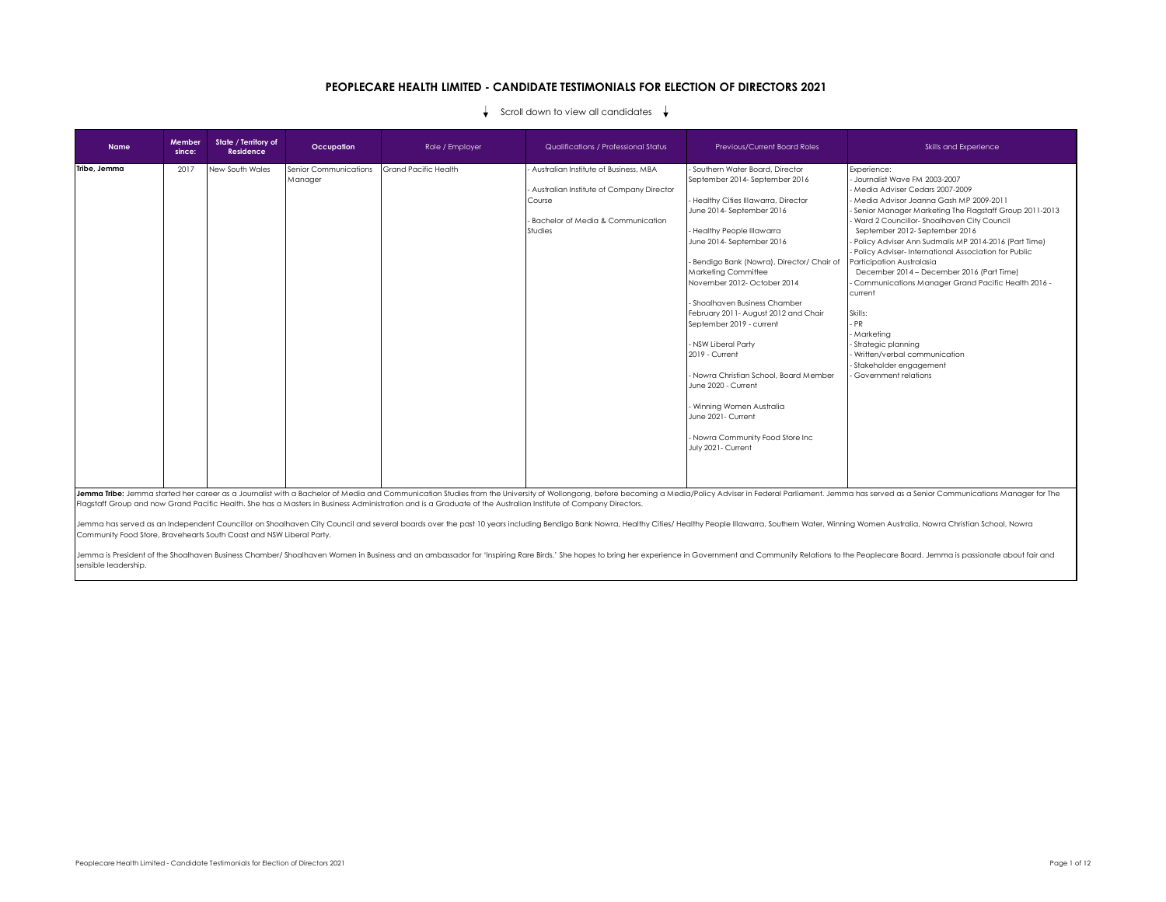## **PEOPLECARE HEALTH LIMITED - CANDIDATE TESTIMONIALS FOR ELECTION OF DIRECTORS 2021**

## Scroll down to view all candidates  $\downarrow$

| <b>Name</b>  | Member<br>since: | State / Territory of<br>Residence | Occupation                       | Role / Employer             | Qualifications / Professional Status                                                                                                          | <b>Previous/Current Board Roles</b>                                                                                                                                                                                                                                                                                                                                                                                                                                                                                                                                                                         | Skills and Experience                                                                                                                                                                                                                                                                                                                                                                                                                                                                                                                                                                                                                                                 |
|--------------|------------------|-----------------------------------|----------------------------------|-----------------------------|-----------------------------------------------------------------------------------------------------------------------------------------------|-------------------------------------------------------------------------------------------------------------------------------------------------------------------------------------------------------------------------------------------------------------------------------------------------------------------------------------------------------------------------------------------------------------------------------------------------------------------------------------------------------------------------------------------------------------------------------------------------------------|-----------------------------------------------------------------------------------------------------------------------------------------------------------------------------------------------------------------------------------------------------------------------------------------------------------------------------------------------------------------------------------------------------------------------------------------------------------------------------------------------------------------------------------------------------------------------------------------------------------------------------------------------------------------------|
| Tribe, Jemma | 2017             | New South Wales                   | Senior Communications<br>Manager | <b>Grand Pacific Health</b> | Australian Institute of Business, MBA<br>Australian Institute of Company Director<br>Course<br>- Bachelor of Media & Communication<br>Studies | - Southern Water Board, Director<br>September 2014-September 2016<br>- Healthy Cities Illawarra, Director<br>June 2014- September 2016<br>- Healthy People Illawarra<br>June 2014- September 2016<br>- Bendigo Bank (Nowra), Director/ Chair of<br>Marketing Committee<br>November 2012-October 2014<br>- Shoalhaven Business Chamber<br>February 2011- August 2012 and Chair<br>September 2019 - current<br>- NSW Liberal Party<br>2019 - Current<br>- Nowra Christian School, Board Member<br>June 2020 - Current<br>- Winning Women Australia<br>June 2021 - Current<br>- Nowra Community Food Store Inc | Experience:<br>Journalist Wave FM 2003-2007<br>Media Adviser Cedars 2007-2009<br>Media Advisor Joanna Gash MP 2009-2011<br>Senior Manager Marketing The Flagstaff Group 2011-2013<br>Ward 2 Councillor-Shoalhaven City Council<br>September 2012-September 2016<br>Policy Adviser Ann Sudmalis MP 2014-2016 (Part Time)<br>Policy Adviser-International Association for Public<br>Participation Australasia<br>December 2014 - December 2016 (Part Time)<br>- Communications Manager Grand Pacific Health 2016 -<br>current<br>Skills:<br>PR<br>- Marketing<br>Strategic planning<br>Written/verbal communication<br>- Stakeholder engagement<br>Government relations |
|              |                  |                                   |                                  |                             |                                                                                                                                               | July 2021- Current                                                                                                                                                                                                                                                                                                                                                                                                                                                                                                                                                                                          |                                                                                                                                                                                                                                                                                                                                                                                                                                                                                                                                                                                                                                                                       |

Jemma Tribe: Jemma started her career as a Journalist with a Bachelor of Media and Communication Studies from the University of Wollongong, before becoming a Media/Policy Adviser in Federal Parliament. Jemma has served as Flagstaff Group and now Grand Pacific Health. She has a Masters in Business Administration and is a Graduate of the Australian Institute of Company Directors.

Jemma has served as an Independent Councillor on Shoalhaven City Council and several boards over the past 10 years including Bendigo Bank Nowra, Healthy Cities/ Healthy People Illawara, Southern Water, Winning Women Austra Community Food Store, Bravehearts South Coast and NSW Liberal Party.

Jemma is President of the Shoalhaven Business Chamber/ Shoalhaven Women in Business and an ambassador for 'Inspiring Rare Birds.' She hopes to bring her experience in Government and Community Relations to the Peoplecare Bo sensible leadership.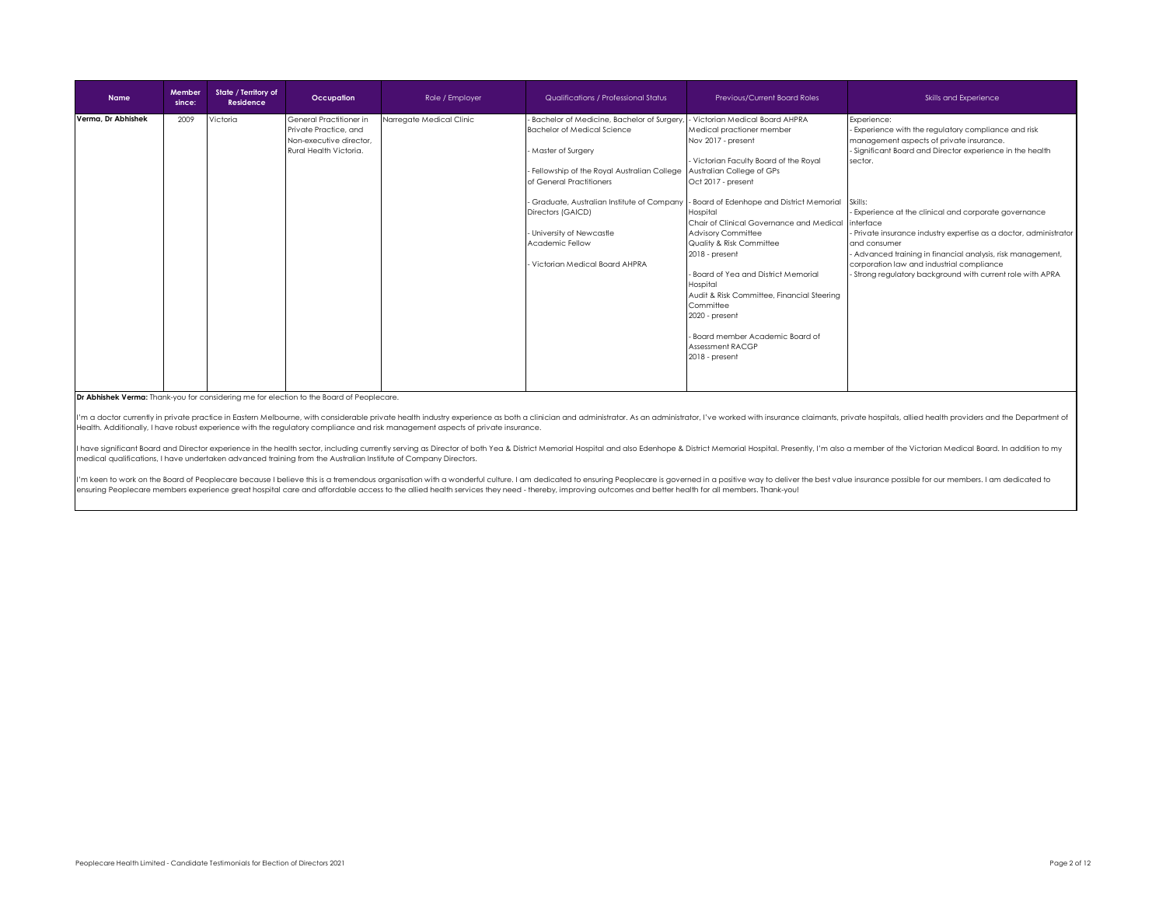| <b>Name</b>        | Member<br>since: | State / Territory of<br><b>Residence</b> | Occupation                                                                                            | Role / Employer          | Qualifications / Professional Status                                                                                                                                                                                                                                               | Previous/Current Board Roles                                                                                                                                                                                                                                                                                                                                                                                                                                                                                                                                                                                                    | Skills and Experience                                                                                                                                                                                                                                                                                                                                                                                                                                                                                                    |
|--------------------|------------------|------------------------------------------|-------------------------------------------------------------------------------------------------------|--------------------------|------------------------------------------------------------------------------------------------------------------------------------------------------------------------------------------------------------------------------------------------------------------------------------|---------------------------------------------------------------------------------------------------------------------------------------------------------------------------------------------------------------------------------------------------------------------------------------------------------------------------------------------------------------------------------------------------------------------------------------------------------------------------------------------------------------------------------------------------------------------------------------------------------------------------------|--------------------------------------------------------------------------------------------------------------------------------------------------------------------------------------------------------------------------------------------------------------------------------------------------------------------------------------------------------------------------------------------------------------------------------------------------------------------------------------------------------------------------|
| Verma, Dr Abhishek | 2009             | Victoria                                 | General Practitioner in<br>Private Practice, and<br>Non-executive director.<br>Rural Health Victoria. | Narregate Medical Clinic | Bachelor of Medicine, Bachelor of Surgery<br><b>Bachelor of Medical Science</b><br>Master of Surgery<br>Fellowship of the Royal Australian College<br>of General Practitioners<br>Directors (GAICD)<br>University of Newcastle<br>Academic Fellow<br>Victorian Medical Board AHPRA | - Victorian Medical Board AHPRA<br>Medical practioner member<br>Nov 2017 - present<br>- Victorian Faculty Board of the Royal<br>Australian College of GPs<br>Oct 2017 - present<br>Graduate, Australian Institute of Company - Board of Edenhope and District Memorial<br>Hospital<br>Chair of Clinical Governance and Medical linterface<br><b>Advisory Committee</b><br>Quality & Risk Committee<br>2018 - present<br>- Board of Yea and District Memorial<br>Hospital<br>Audit & Risk Committee, Financial Steering<br>Committee<br>2020 - present<br>- Board member Academic Board of<br>Assessment RACGP<br>2018 - present | Experience:<br>Experience with the regulatory compliance and risk<br>management aspects of private insurance.<br>- Significant Board and Director experience in the health<br>sector.<br>Skills:<br>- Experience at the clinical and corporate governance<br>- Private insurance industry expertise as a doctor, administrator<br>and consumer<br>- Advanced training in financial analysis, risk management,<br>corporation law and industrial compliance<br>- Strong regulatory background with current role with APRA |

## **Dr Abhishek Verma:** Thank-you for considering me for election to the Board of Peoplecare.

I'm a doctor currently in private practice in Eastern Melbourne, with considerable private health industry experience as both a clinician and administrator. As an administrator, I've worked with insurance claimants, privat Health. Additionally, I have robust experience with the regulatory compliance and risk management aspects of private insurance.

I have significant Board and Director experience in the health sector, including currently serving as Director of both Yea & District Memorial Hospital and also Edenhope & District Memorial Hospital. Presently, I'm also a medical qualifications, I have undertaken advanced training from the Australian Institute of Company Directors.

I'm keen to work on the Board of Peoplecare because I believe this is a tremendous organisation with a wonderful culture. I am dedicated to ensuring Peoplecare is governed in a positive way to deliver the best value insura ensuring Peoplecare members experience great hospital care and affordable access to the allied health services they need - thereby, improving outcomes and better health for all members. Thank-you!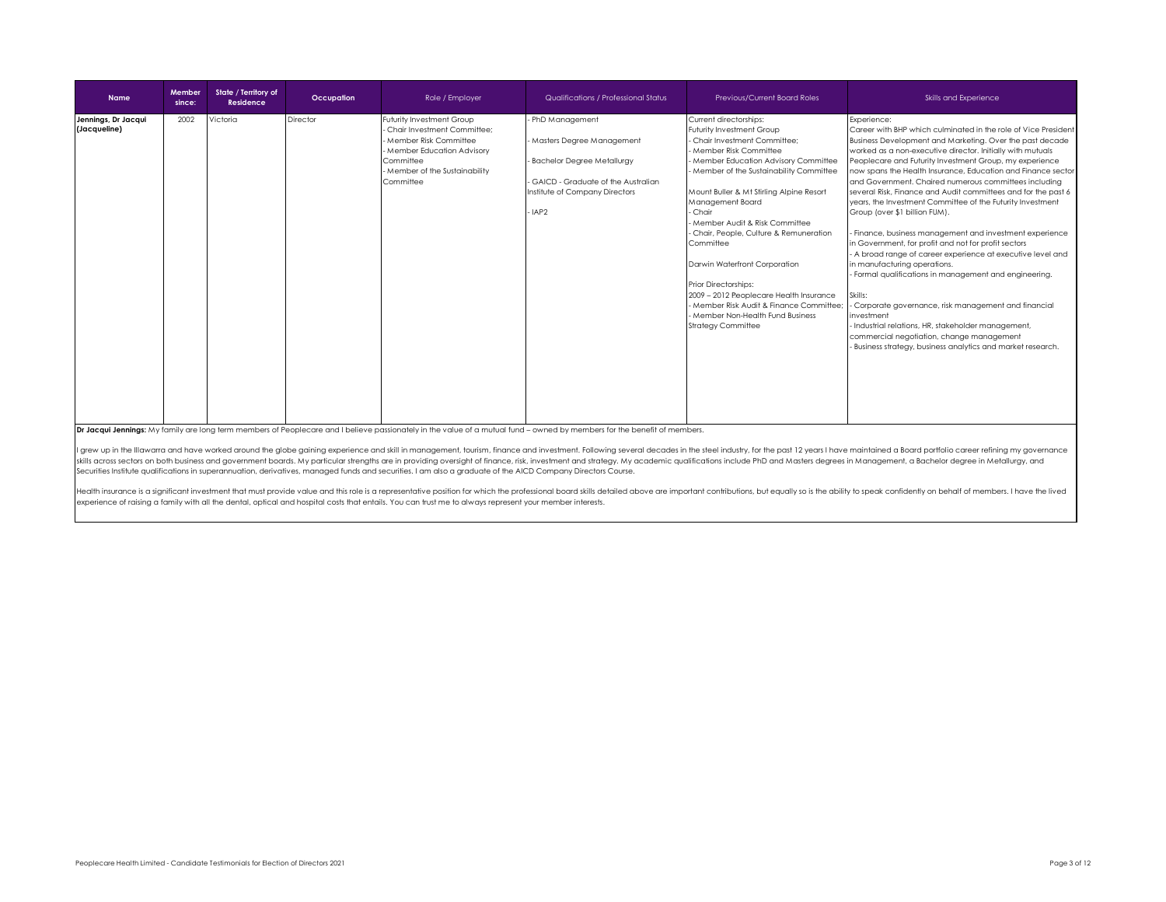| <b>Name</b>                         | Member<br>since: | State / Territory of<br>Residence | Occupation | Role / Employer                                                                                                                                                                  | Qualifications / Professional Status                                                                                                                                           | <b>Previous/Current Board Roles</b>                                                                                                                                                                                                                                                                                                                                                                                                                                                                                                                                                    | Skills and Experience                                                                                                                                                                                                                                                                                                                                                                                                                                                                                                                                                                                                                                                                                                                                                                                                                                                                                                                                                                                                                                                                      |
|-------------------------------------|------------------|-----------------------------------|------------|----------------------------------------------------------------------------------------------------------------------------------------------------------------------------------|--------------------------------------------------------------------------------------------------------------------------------------------------------------------------------|----------------------------------------------------------------------------------------------------------------------------------------------------------------------------------------------------------------------------------------------------------------------------------------------------------------------------------------------------------------------------------------------------------------------------------------------------------------------------------------------------------------------------------------------------------------------------------------|--------------------------------------------------------------------------------------------------------------------------------------------------------------------------------------------------------------------------------------------------------------------------------------------------------------------------------------------------------------------------------------------------------------------------------------------------------------------------------------------------------------------------------------------------------------------------------------------------------------------------------------------------------------------------------------------------------------------------------------------------------------------------------------------------------------------------------------------------------------------------------------------------------------------------------------------------------------------------------------------------------------------------------------------------------------------------------------------|
| Jennings, Dr Jacqui<br>(Jacqueline) | 2002             | Victoria                          | Director   | Futurity Investment Group<br>- Chair Investment Committee:<br>- Member Risk Committee<br>- Member Education Advisory<br>Committee<br>- Member of the Sustainability<br>Committee | - PhD Management<br>- Masters Degree Management<br>- Bachelor Degree Metallurgy<br>- GAICD - Graduate of the Australian<br>Institute of Company Directors<br>-IAP <sub>2</sub> | Current directorships:<br>Futurity Investment Group<br>Chair Investment Committee:<br>- Member Risk Committee<br>- Member Education Advisory Committee<br>Member of the Sustainability Committee<br>Mount Buller & Mt Stirling Alpine Resort<br>Management Board<br>- Chair<br>Member Audit & Risk Committee<br>- Chair, People, Culture & Remuneration<br>Committee<br>Darwin Waterfront Corporation<br>Prior Directorships:<br>2009 - 2012 Peoplecare Health Insurance<br>- Member Risk Audit & Finance Committee;<br>- Member Non-Health Fund Business<br><b>Strategy Committee</b> | Experience:<br>Career with BHP which culminated in the role of Vice President<br>Business Development and Marketing. Over the past decade<br>worked as a non-executive director. Initially with mutuals<br>Peoplecare and Futurity Investment Group, my experience<br>now spans the Health Insurance, Education and Finance sector<br>and Government. Chaired numerous committees including<br>several Risk, Finance and Audit committees and for the past 6<br>years, the Investment Committee of the Futurity Investment<br>Group (over \$1 billion FUM).<br>- Finance, business management and investment experience<br>in Government, for profit and not for profit sectors<br>- A broad range of career experience at executive level and<br>in manufacturing operations.<br>Formal qualifications in management and engineering.<br>Skills:<br>Corporate governance, risk management and financial<br>investment<br>- Industrial relations, HR, stakeholder management,<br>commercial negotiation, change management<br>- Business strategy, business analytics and market research. |

**Dr Jacqui Jennings:** My family are long term members of Peoplecare and I believe passionately in the value of a mutual fund – owned by members for the benefit of members.

I grew up in the Illawarra and have worked around the globe gaining experience and skill in management, tourism, finance and investment. Following several decades in the steel industry, for the past 12 years I have maintai skills across sectors on both business and government boards. My particular strengths are in providing oversight of finance, risk, investment and strategy. My academic qualifications include PhD and Masters degrees in Mana Securities Institute qualifications in superannuation, derivatives, managed funds and securities. I am also a graduate of the AICD Company Directors Course.

Health insurance is a significant investment that must provide value and this role is a representative position for which the professional board skills detailed above are important contributions, but equally so is the abil experience of raising a family with all the dental, optical and hospital costs that entails. You can trust me to always represent your member interests.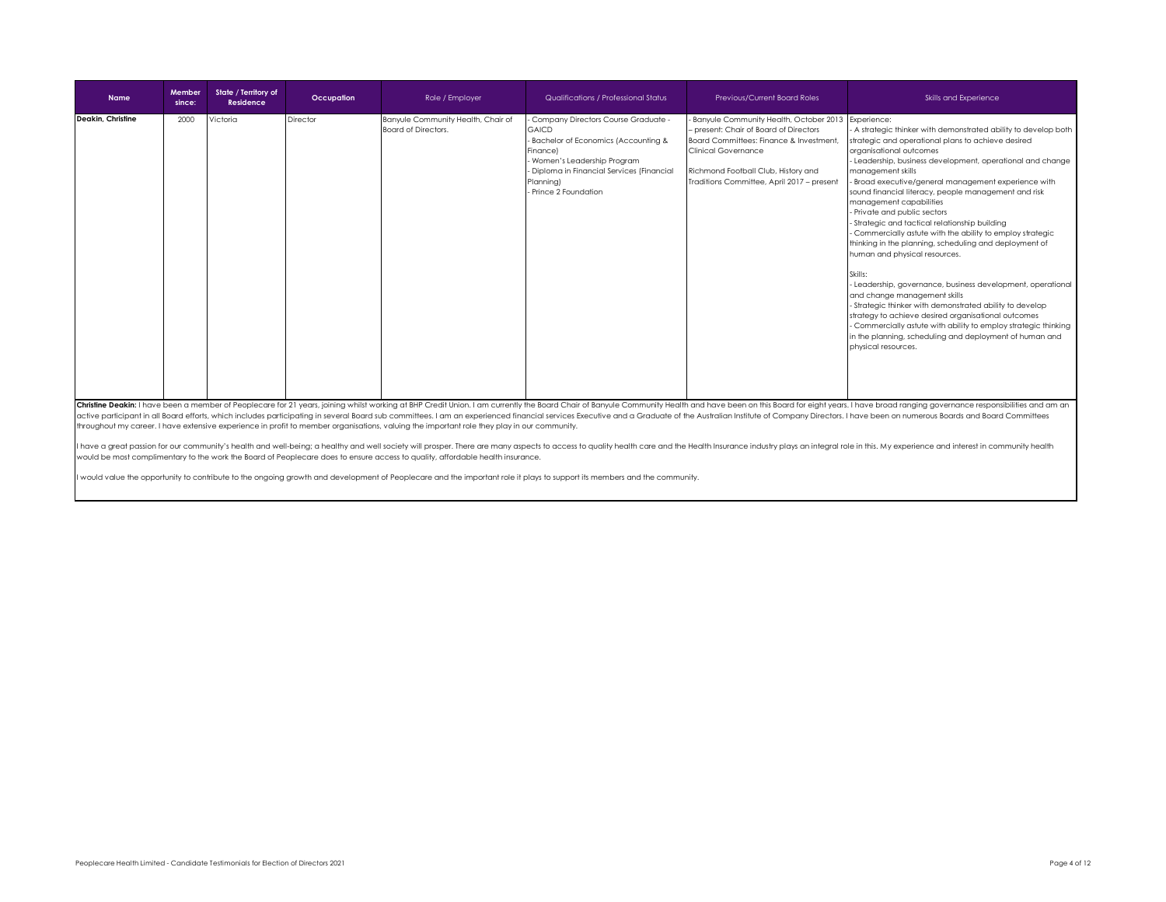| <b>Name</b>       | Member<br>since: | State / Territory of<br>Residence | Occupation | Role / Employer                                           | Qualifications / Professional Status                                                                                                                                                                                   | Previous/Current Board Roles                                                                                                                                                                                                                               | Skills and Experience                                                                                                                                                                                                                                                                                                                                                                                                                                                                                                                                                                                                                                                                                                                                                                                                                                                                                                                                                                       |
|-------------------|------------------|-----------------------------------|------------|-----------------------------------------------------------|------------------------------------------------------------------------------------------------------------------------------------------------------------------------------------------------------------------------|------------------------------------------------------------------------------------------------------------------------------------------------------------------------------------------------------------------------------------------------------------|---------------------------------------------------------------------------------------------------------------------------------------------------------------------------------------------------------------------------------------------------------------------------------------------------------------------------------------------------------------------------------------------------------------------------------------------------------------------------------------------------------------------------------------------------------------------------------------------------------------------------------------------------------------------------------------------------------------------------------------------------------------------------------------------------------------------------------------------------------------------------------------------------------------------------------------------------------------------------------------------|
| Deakin, Christine | 2000             | Victoria                          | Director   | Banyule Community Health, Chair of<br>Board of Directors. | - Company Directors Course Graduate -<br><b>GAICD</b><br>Bachelor of Economics (Accounting &<br>Finance)<br>Women's Leadership Program<br>Diploma in Financial Services (Financial<br>Planning)<br>Prince 2 Foundation | Banyule Community Health, October 2013 Experience:<br>- present: Chair of Board of Directors<br>Board Committees: Finance & Investment.<br><b>Clinical Governance</b><br>Richmond Football Club, History and<br>Traditions Committee, April 2017 - present | A strategic thinker with demonstrated ability to develop both<br>strategic and operational plans to achieve desired<br>organisational outcomes<br>Leadership, business development, operational and change<br>management skills<br>Broad executive/general management experience with<br>sound financial literacy, people management and risk<br>management capabilities<br>Private and public sectors<br>Strategic and tactical relationship building<br>Commercially astute with the ability to employ strategic<br>thinking in the planning, scheduling and deployment of<br>human and physical resources.<br>Skills:<br>Leadership, governance, business development, operational<br>and change management skills<br>- Strategic thinker with demonstrated ability to develop<br>strategy to achieve desired organisational outcomes<br>Commercially astute with ability to employ strategic thinking<br>in the planning, scheduling and deployment of human and<br>physical resources. |

Christine Deakin: I have been a member of Peoplecare for 21 years, joining whilst working at BHP Credit Union. I am currently the Board Chair of Banyule Community Health and have been on this Board for eight years. I have active participant in all Board efforts, which includes participating in several Board sub committees. I am an experienced financial services Executive and a Graduate of the Australian Institute of Company Directors. I hav throughout my career. I have extensive experience in profit to member organisations, valuing the important role they play in our community.

I have a great passion for our community's health and well-being; a healthy and well society will prosper. There are many aspects to access to quality health care and the Health Insurance industry plays an integral role in would be most complimentary to the work the Board of Peoplecare does to ensure access to quality, affordable health insurance.

would value the opportunity to contribute to the ongoing growth and development of Peoplecare and the important role it plays to support its members and the community.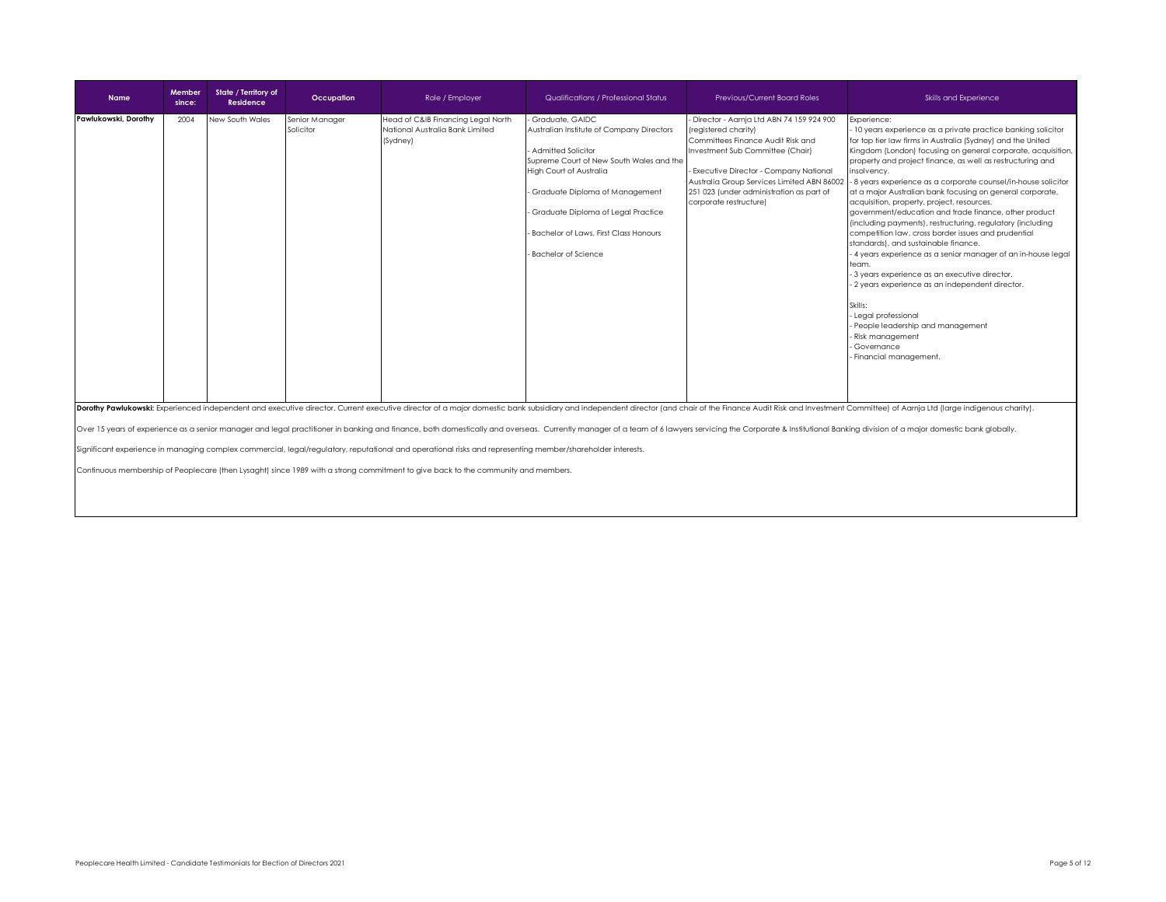| <b>Name</b>          | Member<br>since: | State / Territory of<br>Residence | Occupation                  | Role / Employer                                                                   | Qualifications / Professional Status                                                                                                                                                                                                                                                                       | <b>Previous/Current Board Roles</b>                                                                                                                                                                                                                                                                    | Skills and Experience                                                                                                                                                                                                                                                                                                                                                                                                                                                                                                                                                                                                                                                                                                                                                                                                                                                                                                                                                                                      |
|----------------------|------------------|-----------------------------------|-----------------------------|-----------------------------------------------------------------------------------|------------------------------------------------------------------------------------------------------------------------------------------------------------------------------------------------------------------------------------------------------------------------------------------------------------|--------------------------------------------------------------------------------------------------------------------------------------------------------------------------------------------------------------------------------------------------------------------------------------------------------|------------------------------------------------------------------------------------------------------------------------------------------------------------------------------------------------------------------------------------------------------------------------------------------------------------------------------------------------------------------------------------------------------------------------------------------------------------------------------------------------------------------------------------------------------------------------------------------------------------------------------------------------------------------------------------------------------------------------------------------------------------------------------------------------------------------------------------------------------------------------------------------------------------------------------------------------------------------------------------------------------------|
| Pawlukowski, Dorothy | 2004             | New South Wales                   | Senior Manager<br>Solicitor | Head of C&IB Financing Legal North<br>National Australia Bank Limited<br>(Sydney) | Graduate, GAIDC<br>Australian Institute of Company Directors<br><b>Admitted Solicitor</b><br>Supreme Court of New South Wales and the<br>High Court of Australia<br>- Graduate Diploma of Management<br>Graduate Diploma of Legal Practice<br>Bachelor of Laws, First Class Honours<br>Bachelor of Science | Director - Aarnja Ltd ABN 74 159 924 900<br>(registered charity)<br>Committees Finance Audit Risk and<br>Investment Sub Committee (Chair)<br>Executive Director - Company National<br>Australia Group Services Limited ABN 86002<br>251 023 (under administration as part of<br>corporate restructure) | Experience:<br>10 years experience as a private practice banking solicitor<br>for top tier law firms in Australia (Sydney) and the United<br>Kingdom (London) focusing on general corporate, acquisition,<br>property and project finance, as well as restructuring and<br>insolvency.<br>- 8 years experience as a corporate counsel/in-house solicitor<br>at a major Australian bank focusing on general corporate,<br>acquisition, property, project, resources,<br>government/education and trade finance, other product<br>(including payments), restructuring, regulatory (including<br>competition law, cross border issues and prudential<br>standards), and sustainable finance.<br>4 years experience as a senior manager of an in-house legal<br>team.<br>- 3 years experience as an executive director.<br>- 2 years experience as an independent director.<br>Skills:<br>- Legal professional<br>- People leadership and management<br>Risk management<br>Governance<br>Financial management. |
|                      |                  |                                   |                             |                                                                                   |                                                                                                                                                                                                                                                                                                            |                                                                                                                                                                                                                                                                                                        | Dorothy Pawlukowski: Experienced independent and executive director. Current executive director of a major domestic bank subsidiary and independent director (and chair of the Finance Audit Risk and Investment Committee) of<br>Over 15 years of experience as a senior manager and legal practitioner in banking and finance, both domestically and overseas. Currently manager of a team of 6 lawyers servicing the Corporate & Institutional Banking divisi                                                                                                                                                                                                                                                                                                                                                                                                                                                                                                                                           |

Significant experience in managing complex commercial, legal/regulatory, reputational and operational risks and representing member/shareholder interests.

Continuous membership of Peoplecare (then Lysaght) since 1989 with a strong commitment to give back to the community and members.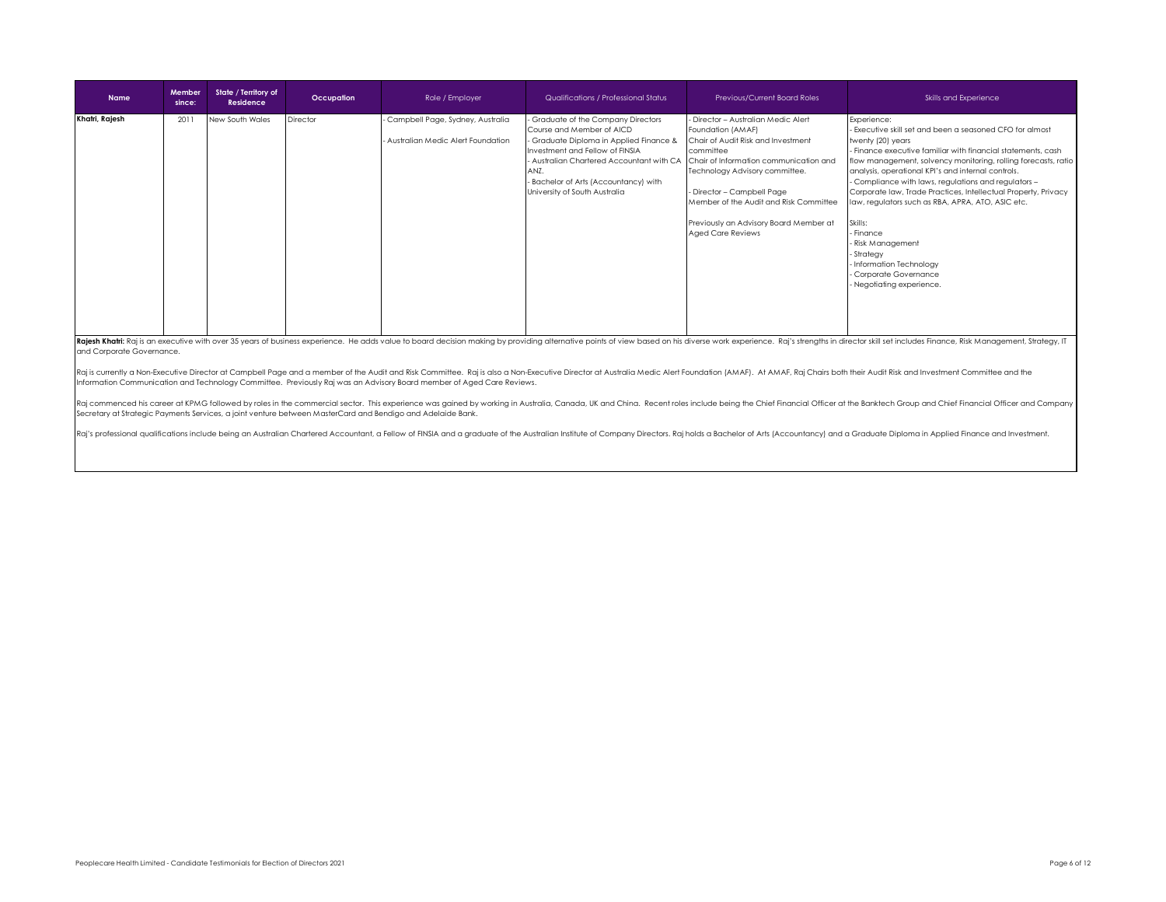| <b>Name</b>    | Member<br>since: | State / Territory of<br>Residence | Occupation | Role / Employer                                                         | Qualifications / Professional Status                                                                                                                                                                                                                                          | Previous/Current Board Roles                                                                                                                                                                                                                                                                                                        | Skills and Experience                                                                                                                                                                                                                                                                                                                                                                                                                                                                                                                                                                                           |
|----------------|------------------|-----------------------------------|------------|-------------------------------------------------------------------------|-------------------------------------------------------------------------------------------------------------------------------------------------------------------------------------------------------------------------------------------------------------------------------|-------------------------------------------------------------------------------------------------------------------------------------------------------------------------------------------------------------------------------------------------------------------------------------------------------------------------------------|-----------------------------------------------------------------------------------------------------------------------------------------------------------------------------------------------------------------------------------------------------------------------------------------------------------------------------------------------------------------------------------------------------------------------------------------------------------------------------------------------------------------------------------------------------------------------------------------------------------------|
| Khatri, Rajesh | 2011             | New South Wales                   | Director   | Campbell Page, Sydney, Australia<br>- Australian Medic Alert Foundation | - Graduate of the Company Directors<br>Course and Member of AICD<br>- Graduate Diploma in Applied Finance &<br>Investment and Fellow of FINSIA<br>- Australian Chartered Accountant with CA<br>ANZ.<br>- Bachelor of Arts (Accountancy) with<br>University of South Australia | Director - Australian Medic Alert<br>Foundation (AMAF)<br>Chair of Audit Risk and Investment<br>committee<br>Chair of Information communication and<br>Technology Advisory committee.<br>- Director - Campbell Page<br>Member of the Audit and Risk Committee<br>Previously an Advisory Board Member at<br><b>Aged Care Reviews</b> | Experience:<br>- Executive skill set and been a seasoned CFO for almost<br>twenty (20) years<br>- Finance executive familiar with financial statements, cash<br>flow management, solvency monitoring, rolling forecasts, ratio<br>analysis, operational KPI's and internal controls.<br>- Compliance with laws, regulations and regulators -<br>Corporate law, Trade Practices, Intellectual Property, Privacy<br>law, regulators such as RBA, APRA, ATO, ASIC etc.<br>Skills:<br>- Finance<br>- Risk Management<br>- Strategy<br>- Information Technology<br>- Corporate Governance<br>Negotiating experience. |

Rajesh Khatri: Raj is an executive with over 35 years of business experience. He adds value to board decision making by providing alternative points of view based on his diverse work experience. Raj's strengths in director and Corporate Governance.

Raj is currently a Non-Executive Director at Campbell Page and a member of the Audit and Risk Committee. Raj is also a Non-Executive Director at Australia Medic Alert Foundation (AMAF). At AMAF, Raj Chairs both their Audit Information Communication and Technology Committee. Previously Raj was an Advisory Board member of Aged Care Reviews.

Raj commenced his career at KPMG followed by roles in the commercial sector. This experience was gained by working in Australia, Canada, UK and China. Recent roles include being the Chief Financial Officer at the Banktech Secretary at Strategic Payments Services, a joint venture between MasterCard and Bendigo and Adelaide Bank.

Raj's professional qualifications include being an Australian Chartered Accountant, a Fellow of FINSIA and a graduate of the Australian Institute of Company Directors. Raj holds a Bachelor of Arts (Accountancy) and a Gradu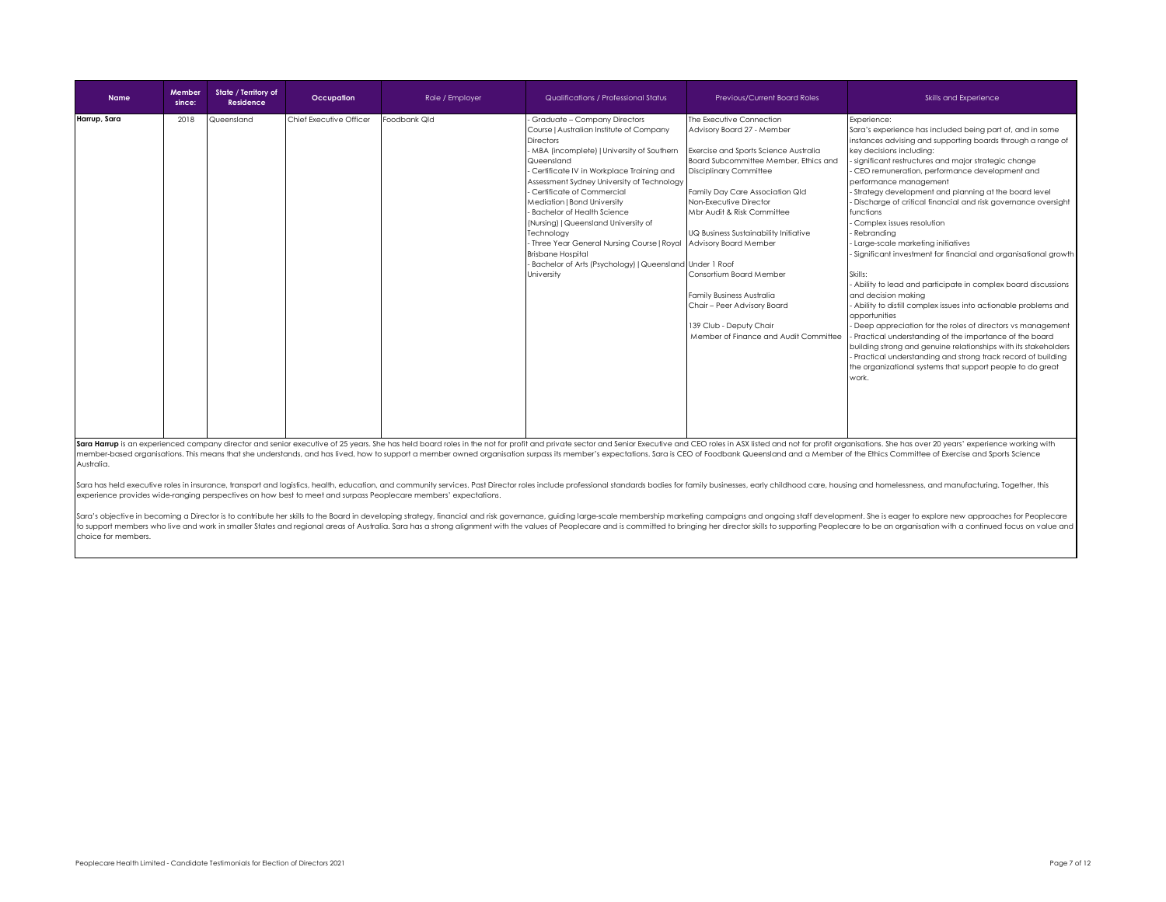| <b>Name</b>  | Member<br>since: | State / Territory of<br><b>Residence</b> | Occupation              | Role / Employer | Qualifications / Professional Status                                                                                                                                                                                                                                                                                                                                                                                                                                                                                                                            | Previous/Current Board Roles                                                                                                                                                                                                                                                                                                                                                                                                                                                                      | Skills and Experience                                                                                                                                                                                                                                                                                                                                                                                                                                                                                                                                                                                                                                                                                                                                                                                                                                                                                                                                                                                                                                                                                                             |
|--------------|------------------|------------------------------------------|-------------------------|-----------------|-----------------------------------------------------------------------------------------------------------------------------------------------------------------------------------------------------------------------------------------------------------------------------------------------------------------------------------------------------------------------------------------------------------------------------------------------------------------------------------------------------------------------------------------------------------------|---------------------------------------------------------------------------------------------------------------------------------------------------------------------------------------------------------------------------------------------------------------------------------------------------------------------------------------------------------------------------------------------------------------------------------------------------------------------------------------------------|-----------------------------------------------------------------------------------------------------------------------------------------------------------------------------------------------------------------------------------------------------------------------------------------------------------------------------------------------------------------------------------------------------------------------------------------------------------------------------------------------------------------------------------------------------------------------------------------------------------------------------------------------------------------------------------------------------------------------------------------------------------------------------------------------------------------------------------------------------------------------------------------------------------------------------------------------------------------------------------------------------------------------------------------------------------------------------------------------------------------------------------|
| Harrup, Sara | 2018             | Queensland                               | Chief Executive Officer | Foodbank Qld    | - Graduate - Company Directors<br>Course   Australian Institute of Company<br><b>Directors</b><br>- MBA (incomplete)   University of Southern<br>Queensland<br>- Certificate IV in Workplace Training and<br>Assessment Sydney University of Technology<br>Certificate of Commercial<br>Mediation   Bond University<br>- Bachelor of Health Science<br>(Nursing)   Queensland University of<br>Technology<br>- Three Year General Nursing Course   Royal<br><b>Brisbane Hospital</b><br>- Bachelor of Arts (Psychology)   Queensland Under 1 Roof<br>University | The Executive Connection<br>Advisory Board 27 - Member<br>Exercise and Sports Science Australia<br>Board Subcommittee Member, Ethics and<br><b>Disciplinary Committee</b><br>Family Day Care Association Qld<br>Non-Executive Director<br>Mbr Audit & Risk Committee<br>UQ Business Sustainability Initiative<br>Advisory Board Member<br>Consortium Board Member<br>Family Business Australia<br>Chair - Peer Advisory Board<br>139 Club - Deputy Chair<br>Member of Finance and Audit Committee | Experience:<br>Sara's experience has included being part of, and in some<br>instances advising and supporting boards through a range of<br>key decisions including:<br>significant restructures and major strategic change<br>- CEO remuneration, performance development and<br>performance management<br>Strategy development and planning at the board level<br>Discharge of critical financial and risk governance oversight<br>functions<br>- Complex issues resolution<br>Rebranding<br>- Large-scale marketing initiatives<br>Significant investment for financial and organisational growth<br>Skills:<br>- Ability to lead and participate in complex board discussions<br>and decision makina<br>- Ability to distill complex issues into actionable problems and<br>opportunities<br>- Deep appreciation for the roles of directors vs management<br>- Practical understanding of the importance of the board<br>building strong and genuine relationships with its stakeholders<br>Practical understanding and strong track record of building<br>the organizational systems that support people to do great<br>work. |

ra Harrup is an experienced company director and senior executive of 25 years. She has held board roles in the not for profit and private sector and Senior Executive and CEO roles in ASX listed and not for profit organisat member-based organisations. This means that she understands, and has lived, how to support a member owned organisation surpass its member's expectations. Sara is CEO of Foodbank Queensland and a Member of the Ethics Commit Australia.

Sara has held executive roles in insurance, transport and logistics, health, education, and community services. Past Director roles include professional standards bodies for family businesses, early childhood care, housing experience provides wide-ranging perspectives on how best to meet and surpass Peoplecare members' expectations.

Sara's objective in becoming a Director is to contribute her skills to the Board in developing strategy, financial and risk governance, guiding large-scale membership marketing campaigns and ongoing staff development. She to support members who live and work in smaller States and regional areas of Australia. Sara has a strong alignment with the values of Peoplecare and is committed to bringing her director skills to supporting Peoplecare to choice for members.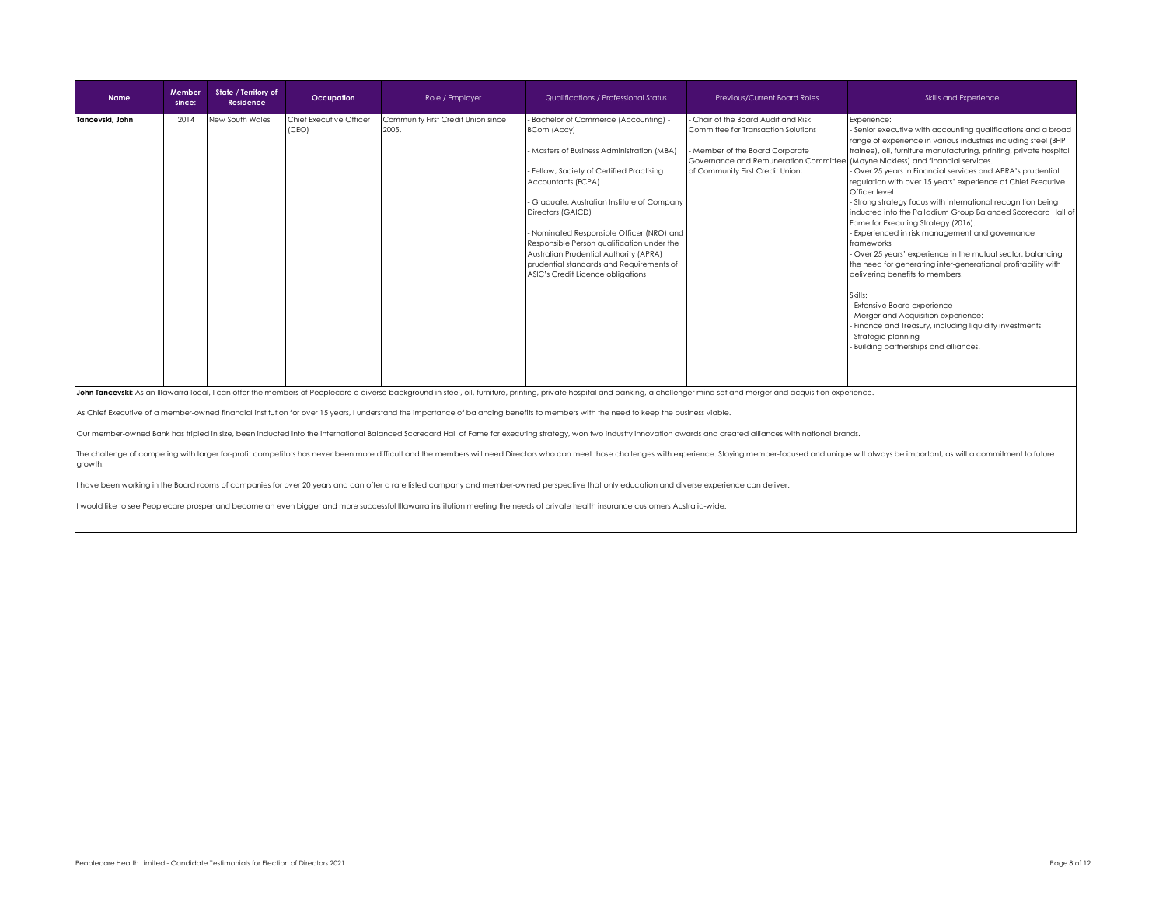| <b>Name</b>                                                                                                                                                                                                                                                                                                                                                                                                                                                                                                                                                                                                                                       | Member<br>since: | State / Territory of<br>Residence | Occupation                       | Role / Employer                             | Qualifications / Professional Status                                                                                                                                                                                                                                                                                                                                                                                                                                   | Previous/Current Board Roles                                                                                                                                                            | Skills and Experience                                                                                                                                                                                                                                                                                                                                                                                                                                                                                                                                                                                                                                                                                                                                                                                                                                                                                                                                                                                                                  |  |  |
|---------------------------------------------------------------------------------------------------------------------------------------------------------------------------------------------------------------------------------------------------------------------------------------------------------------------------------------------------------------------------------------------------------------------------------------------------------------------------------------------------------------------------------------------------------------------------------------------------------------------------------------------------|------------------|-----------------------------------|----------------------------------|---------------------------------------------|------------------------------------------------------------------------------------------------------------------------------------------------------------------------------------------------------------------------------------------------------------------------------------------------------------------------------------------------------------------------------------------------------------------------------------------------------------------------|-----------------------------------------------------------------------------------------------------------------------------------------------------------------------------------------|----------------------------------------------------------------------------------------------------------------------------------------------------------------------------------------------------------------------------------------------------------------------------------------------------------------------------------------------------------------------------------------------------------------------------------------------------------------------------------------------------------------------------------------------------------------------------------------------------------------------------------------------------------------------------------------------------------------------------------------------------------------------------------------------------------------------------------------------------------------------------------------------------------------------------------------------------------------------------------------------------------------------------------------|--|--|
| Tancevski, John                                                                                                                                                                                                                                                                                                                                                                                                                                                                                                                                                                                                                                   | 2014             | New South Wales                   | Chief Executive Officer<br>(CEO) | Community First Credit Union since<br>2005. | - Bachelor of Commerce (Accounting) -<br><b>BCom (Accy)</b><br>- Masters of Business Administration (MBA)<br>- Fellow, Society of Certified Practising<br>Accountants (FCPA)<br>- Graduate, Australian Institute of Company<br>Directors (GAICD)<br>- Nominated Responsible Officer (NRO) and<br>Responsible Person qualification under the<br>Australian Prudential Authority (APRA)<br>prudential standards and Requirements of<br>ASIC's Credit Licence obligations | Chair of the Board Audit and Risk<br>Committee for Transaction Solutions<br>- Member of the Board Corporate<br>Governance and Remuneration Committe<br>of Community First Credit Union: | Experience:<br>- Senior executive with accounting qualifications and a broad<br>range of experience in various industries including steel (BHP<br>trainee), oil, furniture manufacturing, printing, private hospital<br>(Mayne Nickless) and financial services.<br>- Over 25 years in Financial services and APRA's prudential<br>regulation with over 15 years' experience at Chief Executive<br>Officer level.<br>- Strong strategy focus with international recognition being<br>inducted into the Palladium Group Balanced Scorecard Hall of<br>Fame for Executing Strategy (2016).<br>- Experienced in risk management and governance<br>frameworks<br>- Over 25 years' experience in the mutual sector, balancing<br>the need for generating inter-generational profitability with<br>delivering benefits to members.<br>Skills:<br>- Extensive Board experience<br>Merger and Acquisition experience:<br>Finance and Treasury, including liquidity investments<br>- Strategic planning<br>Building partnerships and alliances. |  |  |
| John Tancevski: As an Illawarra local, I can offer the members of Peoplecare a diverse background in steel, oil, furniture, printing, private hospital and banking, a challenger mind-set and merger and acquisition experienc<br>As Chief Executive of a member-owned financial institution for over 15 years, I understand the importance of balancing benefits to members with the need to keep the business viable.<br>Our member-owned Bank has tripled in size, been inducted into the international Balanced Scorecard Hall of Fame for executing strategy, won two industry innovation awards and created alliances with national brands. |                  |                                   |                                  |                                             |                                                                                                                                                                                                                                                                                                                                                                                                                                                                        |                                                                                                                                                                                         |                                                                                                                                                                                                                                                                                                                                                                                                                                                                                                                                                                                                                                                                                                                                                                                                                                                                                                                                                                                                                                        |  |  |
| growth.                                                                                                                                                                                                                                                                                                                                                                                                                                                                                                                                                                                                                                           |                  |                                   |                                  |                                             |                                                                                                                                                                                                                                                                                                                                                                                                                                                                        |                                                                                                                                                                                         | The challenge of competing with larger for-profit competitors has never been more difficult and the members will need Directors who can meet those challenges with experience. Staying member-focused and unique will always b                                                                                                                                                                                                                                                                                                                                                                                                                                                                                                                                                                                                                                                                                                                                                                                                         |  |  |

I have been working in the Board rooms of companies for over 20 years and can offer a rare listed company and member-owned perspective that only education and diverse experience can deliver.

would like to see Peoplecare prosper and become an even bigger and more successful Illawarra institution meeting the needs of private health insurance customers Australia-wide.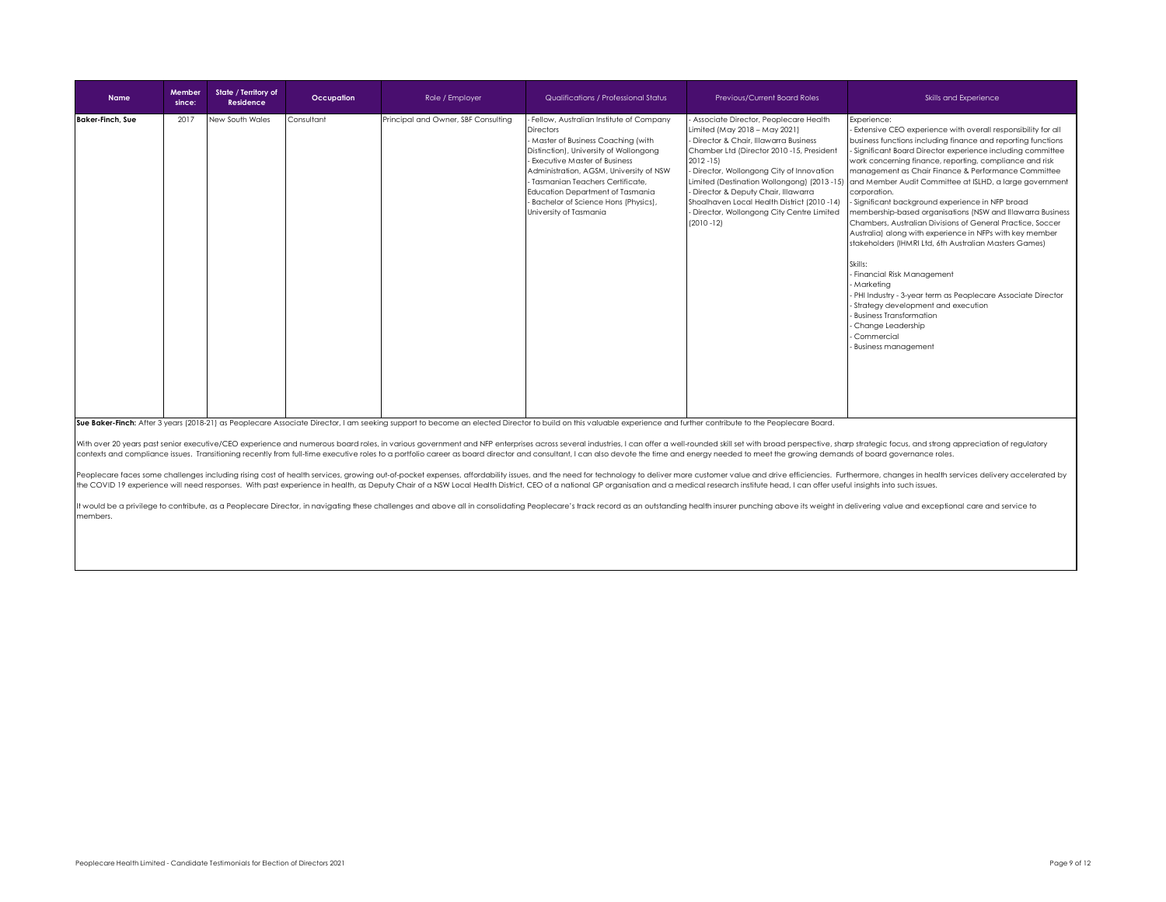| <b>Name</b>             | Member<br>since: | State / Territory of<br><b>Residence</b> | Occupation | Role / Employer                     | Qualifications / Professional Status                                                                                                                                                                                                                                                                                                                              | Previous/Current Board Roles                                                                                                                                                                                                                                                                                                                                                     | Skills and Experience                                                                                                                                                                                                                                                                                                                                                                                                                                                                                                                                                                                                                                                                                                                                                                                                                                                                                                                                                                                                      |
|-------------------------|------------------|------------------------------------------|------------|-------------------------------------|-------------------------------------------------------------------------------------------------------------------------------------------------------------------------------------------------------------------------------------------------------------------------------------------------------------------------------------------------------------------|----------------------------------------------------------------------------------------------------------------------------------------------------------------------------------------------------------------------------------------------------------------------------------------------------------------------------------------------------------------------------------|----------------------------------------------------------------------------------------------------------------------------------------------------------------------------------------------------------------------------------------------------------------------------------------------------------------------------------------------------------------------------------------------------------------------------------------------------------------------------------------------------------------------------------------------------------------------------------------------------------------------------------------------------------------------------------------------------------------------------------------------------------------------------------------------------------------------------------------------------------------------------------------------------------------------------------------------------------------------------------------------------------------------------|
| <b>Baker-Finch, Sue</b> | 2017             | New South Wales                          | Consultant | Principal and Owner, SBF Consulting | Fellow, Australian Institute of Company<br><b>Directors</b><br>- Master of Business Coaching (with<br>Distinction), University of Wollongong<br>Executive Master of Business<br>Administration, AGSM, University of NSW<br>Tasmanian Teachers Certificate.<br>Education Department of Tasmania<br>- Bachelor of Science Hons (Physics),<br>University of Tasmania | - Associate Director, Peoplecare Health<br>Limited (May 2018 - May 2021)<br>- Director & Chair, Illawarra Business<br>Chamber Ltd (Director 2010 -15, President<br>$2012 - 15$<br>- Director, Wollongong City of Innovation<br>- Director & Deputy Chair, Illawarra<br>Shoalhaven Local Health District (2010-14)<br>- Director, Wollongong City Centre Limited<br>$(2010 - 12)$ | Experience:<br>- Extensive CEO experience with overall responsibility for all<br>business functions including finance and reporting functions<br>- Significant Board Director experience including committee<br>work concerning finance, reporting, compliance and risk<br>management as Chair Finance & Performance Committee<br>Limited (Destination Wollongong) (2013 -15) and Member Audit Committee at ISLHD, a large government<br>corporation.<br>- Significant background experience in NFP broad<br>membership-based organisations (NSW and Illawarra Business<br>Chambers, Australian Divisions of General Practice, Soccer<br>Australia) along with experience in NFPs with key member<br>stakeholders (IHMRI Ltd, 6th Australian Masters Games)<br>Skills:<br>- Financial Risk Management<br>- Marketina<br>- PHI Industry - 3-year term as Peoplecare Associate Director<br>- Strategy development and execution<br>- Business Transformation<br>- Change Leadership<br>- Commercial<br>- Business management |

Sue Baker-Finch: After 3 years (2018-21) as Peoplecare Associate Director, I am seeking support to become an elected Director to build on this valuable experience and further contribute to the Peoplecare Board.

With over 20 years past senior executive/CEO experience and numerous board roles, in various government and NFP enterprises across several industries, I can offer a well-rounded skill set with broad perspective, sharp stra contexts and compliance issues. Transitioning recently from full-time executive roles to a portfolio career as board director and consultant, I can also devote the time and energy needed to meet the growing demands of boar

Peoplecare faces some challenges including rising cost of health services, growing out-of-pocket expenses, affordability issues, and the need for technology to deliver more customer value and drive efficiencies. Furthermor the COVID 19 experience will need responses. With past experience in health, as Deputy Chair of a NSW Local Health District, CEO of a national GP organisation and a medical research institute head, I can offer useful insig

it would be a privilege to contribute, as a Peoplecare Director, in navigating these challenges and above all in consolidating Peoplecare's track record as an outstanding health insurer punching above its weight in deliver members.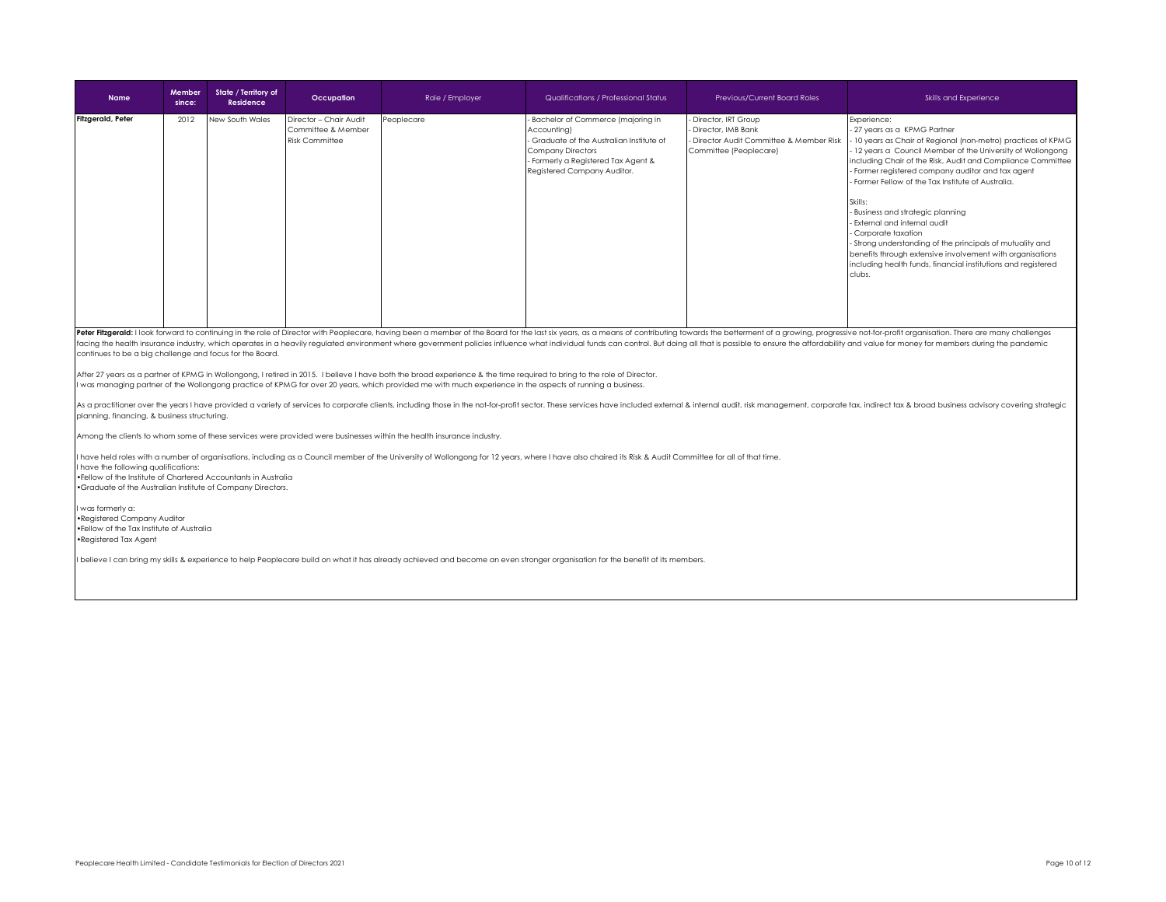| <b>Name</b>       | Member<br>since: | State / Territory of<br>Residence | Occupation                                                            | Role / Employer | Qualifications / Professional Status                                                                                                                                                          | <b>Previous/Current Board Roles</b>                                                                           | Skills and Experience                                                                                                                                                                                                                                                                                                                                                                                                                                                                                                                                                                                                                                           |
|-------------------|------------------|-----------------------------------|-----------------------------------------------------------------------|-----------------|-----------------------------------------------------------------------------------------------------------------------------------------------------------------------------------------------|---------------------------------------------------------------------------------------------------------------|-----------------------------------------------------------------------------------------------------------------------------------------------------------------------------------------------------------------------------------------------------------------------------------------------------------------------------------------------------------------------------------------------------------------------------------------------------------------------------------------------------------------------------------------------------------------------------------------------------------------------------------------------------------------|
| Fitzgerald, Peter | 2012             | New South Wales                   | Director - Chair Audit<br>Committee & Member<br><b>Risk Committee</b> | Peoplecare      | - Bachelor of Commerce (majoring in<br>Accounting)<br>Graduate of the Australian Institute of<br><b>Company Directors</b><br>Formerly a Registered Tax Agent &<br>Registered Company Auditor. | Director, IRT Group<br>Director, IMB Bank<br>Director Audit Committee & Member Risk<br>Committee (Peoplecare) | Experience:<br>- 27 years as a KPMG Partner<br>10 years as Chair of Regional (non-metro) practices of KPMG<br>12 years a Council Member of the University of Wollongong<br>including Chair of the Risk, Audit and Compliance Committee<br>- Former registered company auditor and tax agent<br>- Former Fellow of the Tax Institute of Australia.<br>Skills:<br>- Business and strategic planning<br>- External and internal audit<br>- Corporate taxation<br>- Strong understanding of the principals of mutuality and<br>benefits through extensive involvement with organisations<br>including health funds, financial institutions and registered<br>clubs. |
|                   |                  |                                   |                                                                       |                 |                                                                                                                                                                                               |                                                                                                               | Peter Fitzgerald: Llook forward to continuing in the role of Director with Peoplecare, baying been a member of the Board for the last six years, as a means of contributing towards the betterment of a growing, progressive n                                                                                                                                                                                                                                                                                                                                                                                                                                  |

Peter Fitzgerald: I look forward to continuing in the role of Director with Peoplecare, having been a member of the Board for the last six years, as a means of contributing towards the betterment of a growing, progressive continues to be a big challenge and focus for the Board.

After 27 years as a partner of KPMG in Wollongong, I retired in 2015. I believe I have both the broad experience & the time required to bring to the role of Director. I was managing partner of the Wollongong practice of KPMG for over 20 years, which provided me with much experience in the aspects of running a business.

As a practitioner over the years I have provided a variety of services to corporate clients, including those in the not-for-profit sector. These services have included external & internal audit, risk management, corporate planning, financing, & business structuring.

Among the clients to whom some of these services were provided were businesses within the health insurance industry.

I have held roles with a number of organisations, including as a Council member of the University of Wollongong for 12 years, where I have also chaired its Risk & Audit Committee for all of that time. I have the following qualifications: • Fellow of the Institute of Chartered Accountants in Australia

• Graduate of the Australian Institute of Company Directors.

I was formerly a: • Registered Company Auditor • Fellow of the Tax Institute of Australia • Registered Tax Agent

I believe I can bring my skills & experience to help Peoplecare build on what it has already achieved and become an even stronger organisation for the benefit of its members.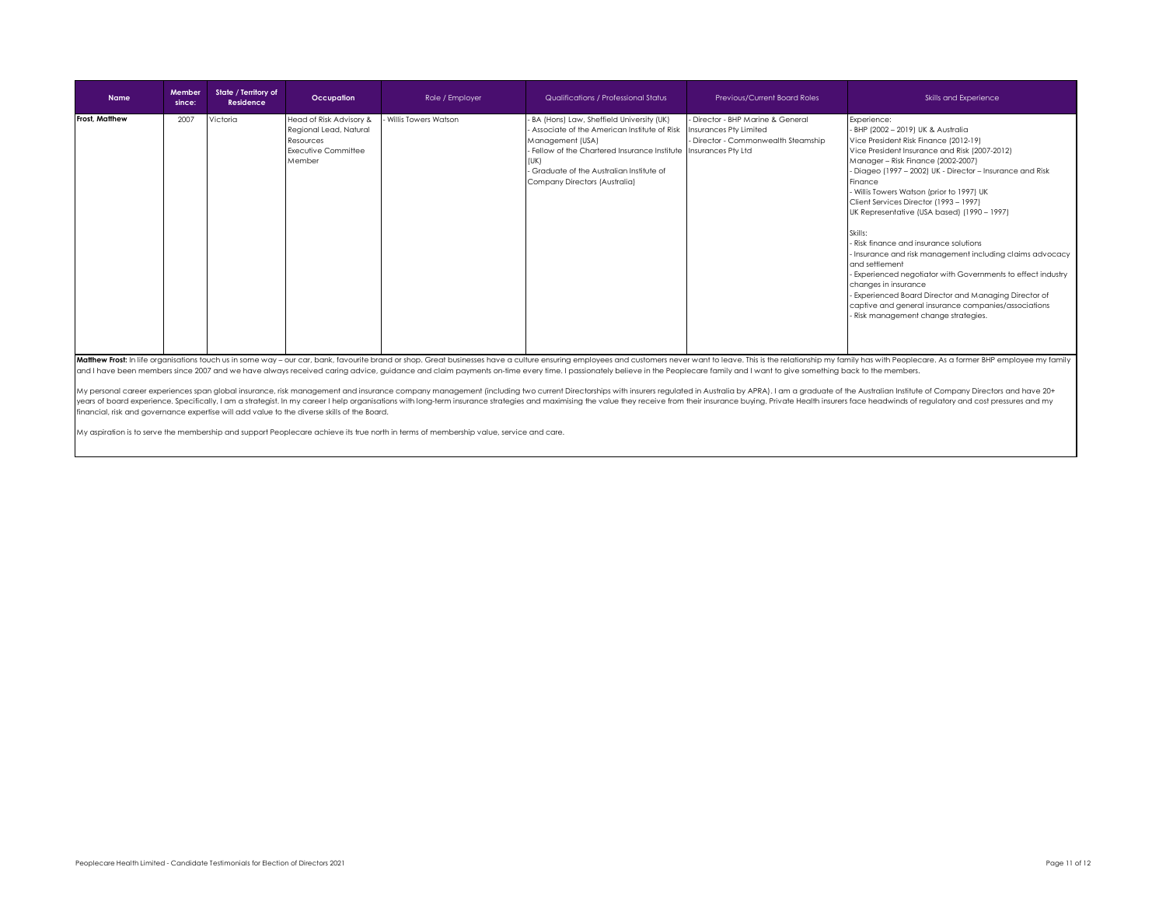| <b>Name</b>           | Member<br>since: | State / Territory of<br>Residence | Occupation                                                                                      | Role / Employer      | Qualifications / Professional Status                                                                                                                                                                                                                                                           | <b>Previous/Current Board Roles</b>                                      | Skills and Experience                                                                                                                                                                                                                                                                                                                                                                                                                                                                                                                                                                                                                                                                                                                                                                |
|-----------------------|------------------|-----------------------------------|-------------------------------------------------------------------------------------------------|----------------------|------------------------------------------------------------------------------------------------------------------------------------------------------------------------------------------------------------------------------------------------------------------------------------------------|--------------------------------------------------------------------------|--------------------------------------------------------------------------------------------------------------------------------------------------------------------------------------------------------------------------------------------------------------------------------------------------------------------------------------------------------------------------------------------------------------------------------------------------------------------------------------------------------------------------------------------------------------------------------------------------------------------------------------------------------------------------------------------------------------------------------------------------------------------------------------|
| <b>Frost, Matthew</b> | 2007             | Victoria                          | Head of Risk Advisory &<br>Regional Lead, Natural<br>Resources<br>Executive Committee<br>Member | Willis Towers Watson | - BA (Hons) Law, Sheffield University (UK)<br>Associate of the American Institute of Risk Insurances Pty Limited<br>Management (USA)<br>- Fellow of the Chartered Insurance Institute Insurances Pty Ltd<br>(UK)<br>- Graduate of the Australian Institute of<br>Company Directors (Australia) | - Director - BHP Marine & General<br>- Director - Commonwealth Steamship | Experience:<br>- BHP (2002 - 2019) UK & Australia<br>Vice President Risk Finance (2012-19)<br>Vice President Insurance and Risk (2007-2012)<br>Manager - Risk Finance (2002-2007)<br>- Diageo (1997 - 2002) UK - Director - Insurance and Risk<br>Finance<br>- Willis Towers Watson (prior to 1997) UK<br>Client Services Director (1993 - 1997)<br>UK Representative (USA based) (1990 - 1997)<br>Skills:<br>- Risk finance and insurance solutions<br>- Insurance and risk management including claims advocacy<br>and settlement<br>- Experienced negotiator with Governments to effect industry<br>changes in insurance<br>- Experienced Board Director and Managing Director of<br>captive and general insurance companies/associations<br>- Risk management change strategies. |

Matthew Frost: In life organisations touch us in some way - our car, bank, favourite brand or shop. Great businesses have a culture ensuring employees and customers never want to leave. This is the relationship my family h and I have been members since 2007 and we have always received caring advice, guidance and claim payments on-time every time. I passionately believe in the Peoplecare family and I want to give something back to the members

My personal career experiences span global insurance, risk management and insurance company management (including two current Directorships with insurers regulated in Australia by APRA). I am a graduate of the Australian I financial, risk and governance expertise will add value to the diverse skills of the Board.

My aspiration is to serve the membership and support Peoplecare achieve its true north in terms of membership value, service and care.